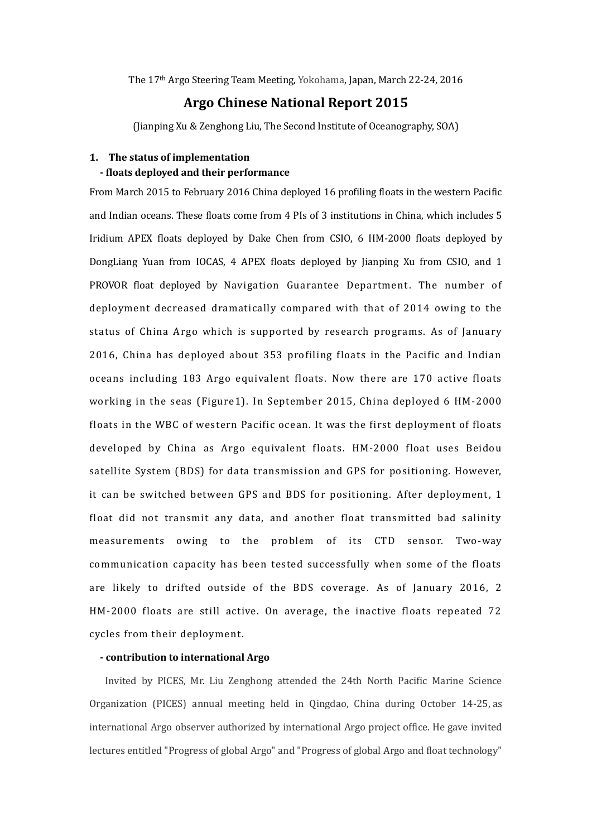The 17th Argo Steering Team Meeting, Yokohama, Japan, March 22-24, 2016

### **Argo Chinese National Report 2015**

(Jianping Xu & Zenghong Liu, The Second Institute of Oceanography, SOA)

## **1. The status of implementation - floats deployed and their performance**

From March 2015 to February 2016 China deployed 16 profiling floats in the western Pacific and Indian oceans. These floats come from 4 PIs of 3 institutions in China, which includes 5 Iridium APEX floats deployed by Dake Chen from CSIO, 6 HM-2000 floats deployed by DongLiang Yuan from IOCAS, 4 APEX floats deployed by Jianping Xu from CSIO, and 1 PROVOR float deployed by Navigation Guarantee Department. The number of deployment decreased dramatically compared with that of 2014 owing to the status of China Argo which is supported by research programs. As of January 2016, China has deployed about 353 profiling floats in the Pacific and Indian oceans including 183 Argo equivalent floats. Now there are 170 active floats working in the seas (Figure1). In September 2015, China deployed 6 HM-2000 floats in the WBC of western Pacific ocean. It was the first deployment of floats developed by China as Argo equivalent floats. HM-2000 float uses Beidou satellite System (BDS) for data transmission and GPS for positioning. However, it can be switched between GPS and BDS for positioning. After deployment, 1 float did not transmit any data, and another float transmitted bad salinity measurements owing to the problem of its CTD sensor. Two-way communication capacity has been tested successfully when some of the floats are likely to drifted outside of the BDS coverage. As of January 2016, 2 HM-2000 floats are still active. On average, the inactive floats repeated 72 cycles from their deployment.

### **- contribution to international Argo**

Invited by PICES, Mr. Liu Zenghong attended the 24th North Pacific Marine Science Organization (PICES) annual meeting held in Qingdao, China during October 14-25, as international Argo observer authorized by international Argo project office. He gave invited lectures entitled "Progress of global Argo" and "Progress of global Argo and float technology"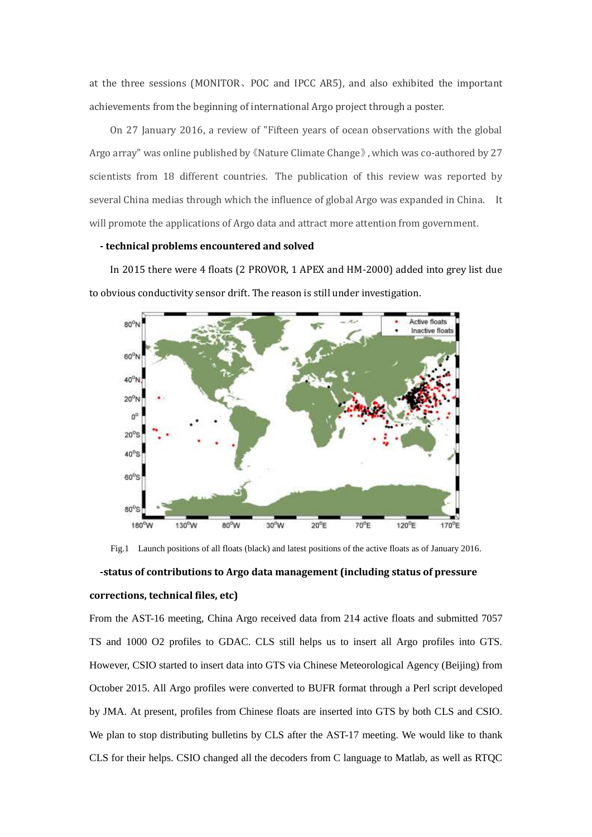at the three sessions (MONITOR、POC and IPCC AR5), and also exhibited the important achievements from the beginning of international Argo project through a poster.

 On 27 January 2016, a review of "Fifteen years of ocean observations with the global Argo array" was online published by《Nature Climate Change》, which was co-authored by 27 scientists from 18 different countries. The publication of this review was reported by several China medias through which the influence of global Argo was expanded in China. It will promote the applications of Argo data and attract more attention from government.

#### **- technical problems encountered and solved**

 In 2015 there were 4 floats (2 PROVOR, 1 APEX and HM-2000) added into grey list due to obvious conductivity sensor drift. The reason is still under investigation.



Fig.1 Launch positions of all floats (black) and latest positions of the active floats as of January 2016.

# **-status of contributions to Argo data management (including status of pressure corrections, technical files, etc)**

From the AST-16 meeting, China Argo received data from 214 active floats and submitted 7057 TS and 1000 O2 profiles to GDAC. CLS still helps us to insert all Argo profiles into GTS. However, CSIO started to insert data into GTS via Chinese Meteorological Agency (Beijing) from October 2015. All Argo profiles were converted to BUFR format through a Perl script developed by JMA. At present, profiles from Chinese floats are inserted into GTS by both CLS and CSIO. We plan to stop distributing bulletins by CLS after the AST-17 meeting. We would like to thank CLS for their helps. CSIO changed all the decoders from C language to Matlab, as well as RTQC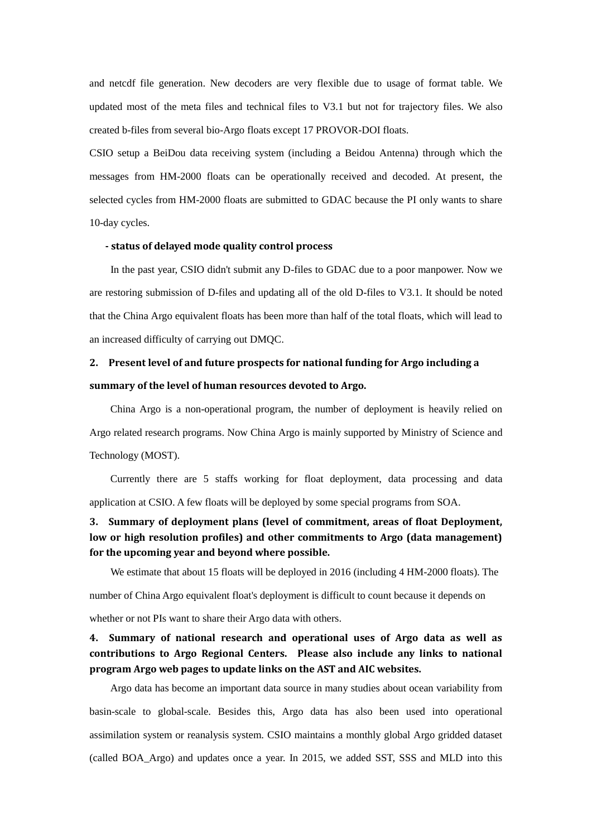and netcdf file generation. New decoders are very flexible due to usage of format table. We updated most of the meta files and technical files to V3.1 but not for trajectory files. We also created b-files from several bio-Argo floats except 17 PROVOR-DOI floats.

CSIO setup a BeiDou data receiving system (including a Beidou Antenna) through which the messages from HM-2000 floats can be operationally received and decoded. At present, the selected cycles from HM-2000 floats are submitted to GDAC because the PI only wants to share 10-day cycles.

#### **- status of delayed mode quality control process**

 In the past year, CSIO didn't submit any D-files to GDAC due to a poor manpower. Now we are restoring submission of D-files and updating all of the old D-files to V3.1. It should be noted that the China Argo equivalent floats has been more than half of the total floats, which will lead to an increased difficulty of carrying out DMQC.

# **2. Present level of and future prospects for national funding for Argo including a summary of the level of human resources devoted to Argo.**

 China Argo is a non-operational program, the number of deployment is heavily relied on Argo related research programs. Now China Argo is mainly supported by Ministry of Science and Technology (MOST).

 Currently there are 5 staffs working for float deployment, data processing and data application at CSIO. A few floats will be deployed by some special programs from SOA.

## **3. Summary of deployment plans (level of commitment, areas of float Deployment, low or high resolution profiles) and other commitments to Argo (data management) for the upcoming year and beyond where possible.**

We estimate that about 15 floats will be deployed in 2016 (including 4 HM-2000 floats). The

number of China Argo equivalent float's deployment is difficult to count because it depends on

whether or not PIs want to share their Argo data with others.

## **4. Summary of national research and operational uses of Argo data as well as contributions to Argo Regional Centers. Please also include any links to national program Argo web pages to update links on the AST and AIC websites.**

 Argo data has become an important data source in many studies about ocean variability from basin-scale to global-scale. Besides this, Argo data has also been used into operational assimilation system or reanalysis system. CSIO maintains a monthly global Argo gridded dataset (called BOA\_Argo) and updates once a year. In 2015, we added SST, SSS and MLD into this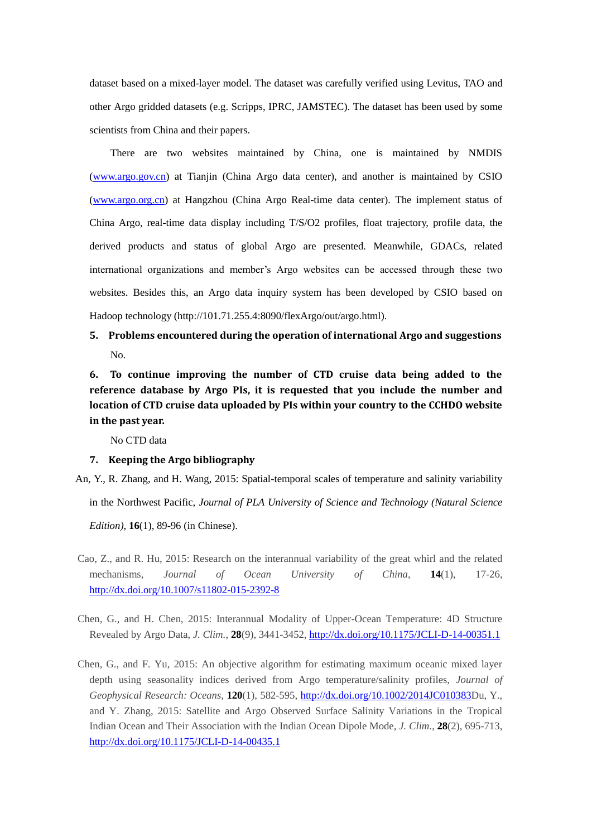dataset based on a mixed-layer model. The dataset was carefully verified using Levitus, TAO and other Argo gridded datasets (e.g. Scripps, IPRC, JAMSTEC). The dataset has been used by some scientists from China and their papers.

 There are two websites maintained by China, one is maintained by NMDIS [\(www.argo.gov.cn\)](http://www.argo.gov.cn/) at Tianjin (China Argo data center), and another is maintained by CSIO [\(www.argo.org.cn\)](http://www.argo.org.cn/) at Hangzhou (China Argo Real-time data center). The implement status of China Argo, real-time data display including T/S/O2 profiles, float trajectory, profile data, the derived products and status of global Argo are presented. Meanwhile, GDACs, related international organizations and member's Argo websites can be accessed through these two websites. Besides this, an Argo data inquiry system has been developed by CSIO based on Hadoop technology (http://101.71.255.4:8090/flexArgo/out/argo.html).

**5. Problems encountered during the operation of international Argo and suggestions** No.

**6. To continue improving the number of CTD cruise data being added to the reference database by Argo PIs, it is requested that you include the number and location of CTD cruise data uploaded by PIs within your country to the CCHDO website in the past year.** 

No CTD data

#### **7. Keeping the Argo bibliography**

An, Y., R. Zhang, and H. Wang, 2015: Spatial-temporal scales of temperature and salinity variability

in the Northwest Pacific, *Journal of PLA University of Science and Technology (Natural Science* 

*Edition)*, **16**(1), 89-96 (in Chinese).

- Cao, Z., and R. Hu, 2015: Research on the interannual variability of the great whirl and the related mechanisms, *Journal of Ocean University of China*, **14**(1), 17-26, <http://dx.doi.org/10.1007/s11802-015-2392-8>
- Chen, G., and H. Chen, 2015: Interannual Modality of Upper-Ocean Temperature: 4D Structure Revealed by Argo Data, *J. Clim.*, **28**(9), 3441-3452,<http://dx.doi.org/10.1175/JCLI-D-14-00351.1>
- Chen, G., and F. Yu, 2015: An objective algorithm for estimating maximum oceanic mixed layer depth using seasonality indices derived from Argo temperature/salinity profiles, *Journal of Geophysical Research: Oceans*, **120**(1), 582-595, [http://dx.doi.org/10.1002/2014JC010383D](http://dx.doi.org/10.1002/2014JC010383)u, Y., and Y. Zhang, 2015: Satellite and Argo Observed Surface Salinity Variations in the Tropical Indian Ocean and Their Association with the Indian Ocean Dipole Mode, *J. Clim.*, **28**(2), 695-713, <http://dx.doi.org/10.1175/JCLI-D-14-00435.1>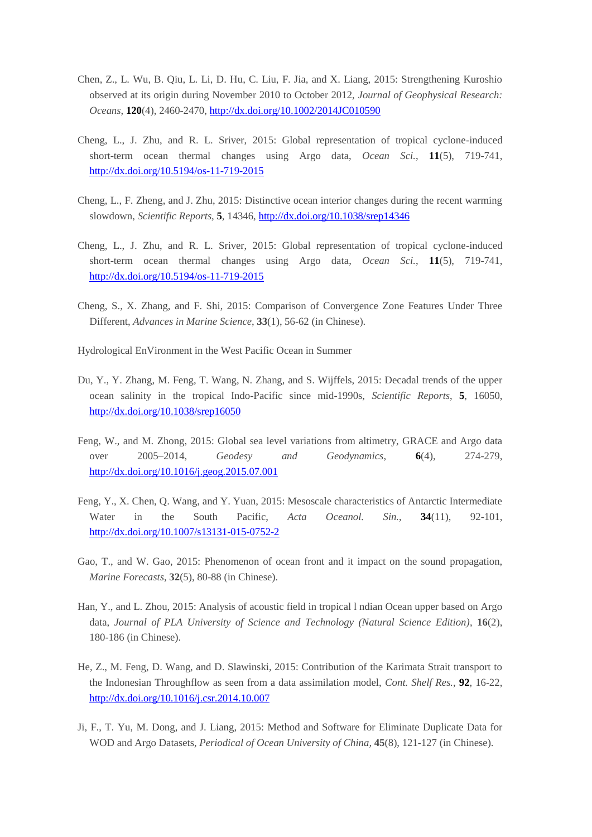- Chen, Z., L. Wu, B. Qiu, L. Li, D. Hu, C. Liu, F. Jia, and X. Liang, 2015: Strengthening Kuroshio observed at its origin during November 2010 to October 2012, *Journal of Geophysical Research: Oceans*, **120**(4), 2460-2470[, http://dx.doi.org/10.1002/2014JC010590](http://dx.doi.org/10.1002/2014JC010590)
- Cheng, L., J. Zhu, and R. L. Sriver, 2015: Global representation of tropical cyclone-induced short-term ocean thermal changes using Argo data, *Ocean Sci.*, **11**(5), 719-741, <http://dx.doi.org/10.5194/os-11-719-2015>
- Cheng, L., F. Zheng, and J. Zhu, 2015: Distinctive ocean interior changes during the recent warming slowdown, *Scientific Reports*, **5**, 14346,<http://dx.doi.org/10.1038/srep14346>
- Cheng, L., J. Zhu, and R. L. Sriver, 2015: Global representation of tropical cyclone-induced short-term ocean thermal changes using Argo data, *Ocean Sci.*, **11**(5), 719-741, <http://dx.doi.org/10.5194/os-11-719-2015>
- Cheng, S., X. Zhang, and F. Shi, 2015: Comparison of Convergence Zone Features Under Three Different, *Advances in Marine Science*, **33**(1), 56-62 (in Chinese).

Hydrological EnVironment in the West Pacific Ocean in Summer

- Du, Y., Y. Zhang, M. Feng, T. Wang, N. Zhang, and S. Wijffels, 2015: Decadal trends of the upper ocean salinity in the tropical Indo-Pacific since mid-1990s, *Scientific Reports*, **5**, 16050, <http://dx.doi.org/10.1038/srep16050>
- Feng, W., and M. Zhong, 2015: Global sea level variations from altimetry, GRACE and Argo data over 2005–2014, *Geodesy and Geodynamics*, **6**(4), 274-279, <http://dx.doi.org/10.1016/j.geog.2015.07.001>
- Feng, Y., X. Chen, Q. Wang, and Y. Yuan, 2015: Mesoscale characteristics of Antarctic Intermediate Water in the South Pacific, *Acta Oceanol. Sin.*, **34**(11), 92-101, <http://dx.doi.org/10.1007/s13131-015-0752-2>
- Gao, T., and W. Gao, 2015: Phenomenon of ocean front and it impact on the sound propagation, *Marine Forecasts*, **32**(5), 80-88 (in Chinese).
- Han, Y., and L. Zhou, 2015: Analysis of acoustic field in tropical l ndian Ocean upper based on Argo data, *Journal of PLA University of Science and Technology (Natural Science Edition)*, **16**(2), 180-186 (in Chinese).
- He, Z., M. Feng, D. Wang, and D. Slawinski, 2015: Contribution of the Karimata Strait transport to the Indonesian Throughflow as seen from a data assimilation model, *Cont. Shelf Res.*, **92**, 16-22, <http://dx.doi.org/10.1016/j.csr.2014.10.007>
- Ji, F., T. Yu, M. Dong, and J. Liang, 2015: Method and Software for Eliminate Duplicate Data for WOD and Argo Datasets, *Periodical of Ocean University of China,* **45**(8), 121-127 (in Chinese).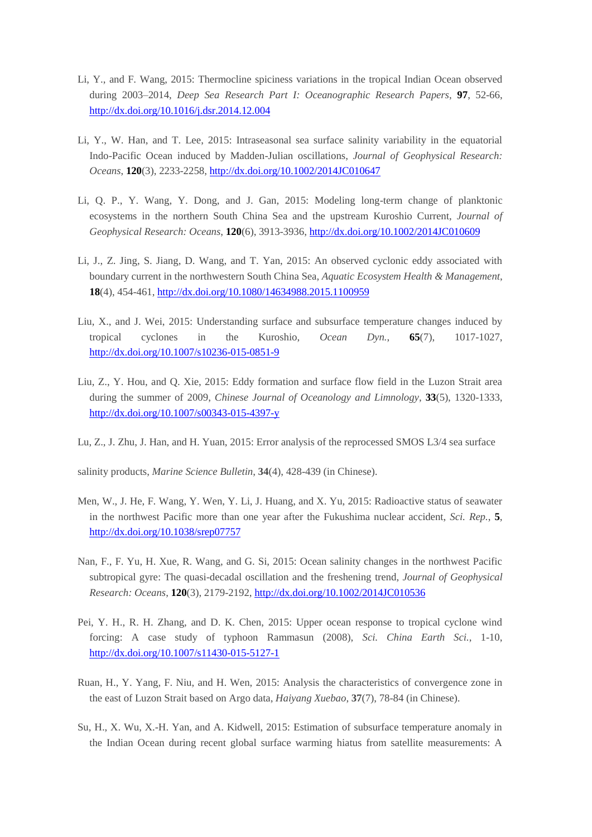- Li, Y., and F. Wang, 2015: Thermocline spiciness variations in the tropical Indian Ocean observed during 2003–2014, *Deep Sea Research Part I: Oceanographic Research Papers*, **97**, 52-66, <http://dx.doi.org/10.1016/j.dsr.2014.12.004>
- Li, Y., W. Han, and T. Lee, 2015: Intraseasonal sea surface salinity variability in the equatorial Indo-Pacific Ocean induced by Madden-Julian oscillations, *Journal of Geophysical Research: Oceans*, **120**(3), 2233-2258[, http://dx.doi.org/10.1002/2014JC010647](http://dx.doi.org/10.1002/2014JC010647)
- Li, Q. P., Y. Wang, Y. Dong, and J. Gan, 2015: Modeling long-term change of planktonic ecosystems in the northern South China Sea and the upstream Kuroshio Current, *Journal of Geophysical Research: Oceans*, **120**(6), 3913-3936,<http://dx.doi.org/10.1002/2014JC010609>
- Li, J., Z. Jing, S. Jiang, D. Wang, and T. Yan, 2015: An observed cyclonic eddy associated with boundary current in the northwestern South China Sea, *Aquatic Ecosystem Health & Management*, **18**(4), 454-461,<http://dx.doi.org/10.1080/14634988.2015.1100959>
- Liu, X., and J. Wei, 2015: Understanding surface and subsurface temperature changes induced by tropical cyclones in the Kuroshio, *Ocean Dyn.*, **65**(7), 1017-1027, <http://dx.doi.org/10.1007/s10236-015-0851-9>
- Liu, Z., Y. Hou, and Q. Xie, 2015: Eddy formation and surface flow field in the Luzon Strait area during the summer of 2009, *Chinese Journal of Oceanology and Limnology*, **33**(5), 1320-1333, <http://dx.doi.org/10.1007/s00343-015-4397-y>
- Lu, Z., J. Zhu, J. Han, and H. Yuan, 2015: Error analysis of the reprocessed SMOS L3/4 sea surface

salinity products, *Marine Science Bulletin*, **34**(4), 428-439 (in Chinese).

- Men, W., J. He, F. Wang, Y. Wen, Y. Li, J. Huang, and X. Yu, 2015: Radioactive status of seawater in the northwest Pacific more than one year after the Fukushima nuclear accident, *Sci. Rep.*, **5**, <http://dx.doi.org/10.1038/srep07757>
- Nan, F., F. Yu, H. Xue, R. Wang, and G. Si, 2015: Ocean salinity changes in the northwest Pacific subtropical gyre: The quasi-decadal oscillation and the freshening trend, *Journal of Geophysical Research: Oceans*, **120**(3), 2179-2192,<http://dx.doi.org/10.1002/2014JC010536>
- Pei, Y. H., R. H. Zhang, and D. K. Chen, 2015: Upper ocean response to tropical cyclone wind forcing: A case study of typhoon Rammasun (2008), *Sci. China Earth Sci.*, 1-10, <http://dx.doi.org/10.1007/s11430-015-5127-1>
- Ruan, H., Y. Yang, F. Niu, and H. Wen, 2015: Analysis the characteristics of convergence zone in the east of Luzon Strait based on Argo data, *Haiyang Xuebao*, **37**(7), 78-84 (in Chinese).
- Su, H., X. Wu, X.-H. Yan, and A. Kidwell, 2015: Estimation of subsurface temperature anomaly in the Indian Ocean during recent global surface warming hiatus from satellite measurements: A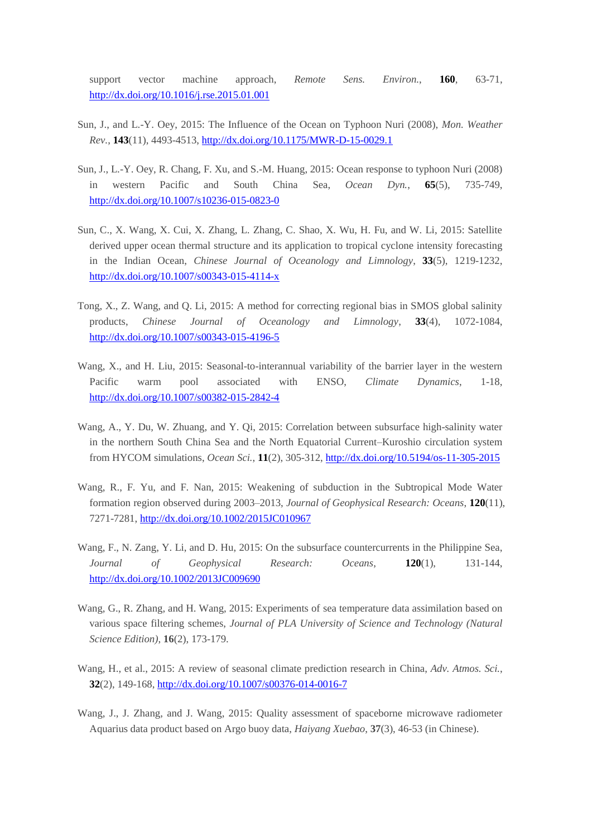support vector machine approach, *Remote Sens. Environ.*, **160**, 63-71, <http://dx.doi.org/10.1016/j.rse.2015.01.001>

- Sun, J., and L.-Y. Oey, 2015: The Influence of the Ocean on Typhoon Nuri (2008), *Mon. Weather Rev.*, **143**(11), 4493-4513,<http://dx.doi.org/10.1175/MWR-D-15-0029.1>
- Sun, J., L.-Y. Oey, R. Chang, F. Xu, and S.-M. Huang, 2015: Ocean response to typhoon Nuri (2008) in western Pacific and South China Sea, *Ocean Dyn.*, **65**(5), 735-749, <http://dx.doi.org/10.1007/s10236-015-0823-0>
- Sun, C., X. Wang, X. Cui, X. Zhang, L. Zhang, C. Shao, X. Wu, H. Fu, and W. Li, 2015: Satellite derived upper ocean thermal structure and its application to tropical cyclone intensity forecasting in the Indian Ocean, *Chinese Journal of Oceanology and Limnology*, **33**(5), 1219-1232, <http://dx.doi.org/10.1007/s00343-015-4114-x>
- Tong, X., Z. Wang, and Q. Li, 2015: A method for correcting regional bias in SMOS global salinity products, *Chinese Journal of Oceanology and Limnology*, **33**(4), 1072-1084, <http://dx.doi.org/10.1007/s00343-015-4196-5>
- Wang, X., and H. Liu, 2015: Seasonal-to-interannual variability of the barrier layer in the western Pacific warm pool associated with ENSO, *Climate Dynamics*, 1-18, <http://dx.doi.org/10.1007/s00382-015-2842-4>
- Wang, A., Y. Du, W. Zhuang, and Y. Qi, 2015: Correlation between subsurface high-salinity water in the northern South China Sea and the North Equatorial Current–Kuroshio circulation system from HYCOM simulations, *Ocean Sci.*, **11**(2), 305-312,<http://dx.doi.org/10.5194/os-11-305-2015>
- Wang, R., F. Yu, and F. Nan, 2015: Weakening of subduction in the Subtropical Mode Water formation region observed during 2003–2013, *Journal of Geophysical Research: Oceans*, **120**(11), 7271-7281[, http://dx.doi.org/10.1002/2015JC010967](http://dx.doi.org/10.1002/2015JC010967)
- Wang, F., N. Zang, Y. Li, and D. Hu, 2015: On the subsurface countercurrents in the Philippine Sea, *Journal of Geophysical Research: Oceans*, **120**(1), 131-144, <http://dx.doi.org/10.1002/2013JC009690>
- Wang, G., R. Zhang, and H. Wang, 2015: Experiments of sea temperature data assimilation based on various space filtering schemes, *Journal of PLA University of Science and Technology (Natural Science Edition)*, **16**(2), 173-179.
- Wang, H., et al., 2015: A review of seasonal climate prediction research in China, *Adv. Atmos. Sci.*, **32**(2), 149-168,<http://dx.doi.org/10.1007/s00376-014-0016-7>
- Wang, J., J. Zhang, and J. Wang, 2015: Quality assessment of spaceborne microwave radiometer Aquarius data product based on Argo buoy data, *Haiyang Xuebao*, **37**(3), 46-53 (in Chinese).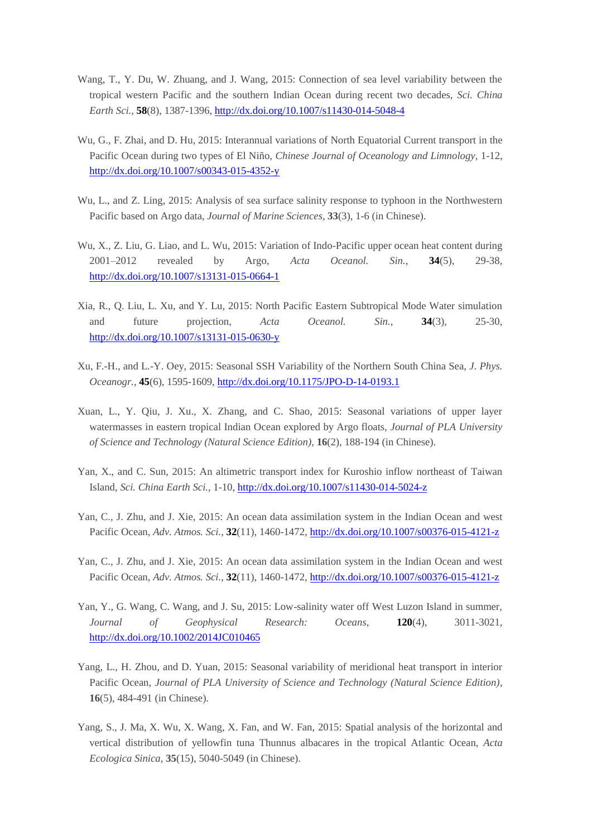- Wang, T., Y. Du, W. Zhuang, and J. Wang, 2015: Connection of sea level variability between the tropical western Pacific and the southern Indian Ocean during recent two decades, *Sci. China Earth Sci.*, **58**(8), 1387-1396,<http://dx.doi.org/10.1007/s11430-014-5048-4>
- Wu, G., F. Zhai, and D. Hu, 2015: Interannual variations of North Equatorial Current transport in the Pacific Ocean during two types of El Niño, *Chinese Journal of Oceanology and Limnology*, 1-12, <http://dx.doi.org/10.1007/s00343-015-4352-y>
- Wu, L., and Z. Ling, 2015: Analysis of sea surface salinity response to typhoon in the Northwestern Pacific based on Argo data, *Journal of Marine Sciences*, **33**(3), 1-6 (in Chinese).
- Wu, X., Z. Liu, G. Liao, and L. Wu, 2015: Variation of Indo-Pacific upper ocean heat content during 2001–2012 revealed by Argo, *Acta Oceanol. Sin.*, **34**(5), 29-38, <http://dx.doi.org/10.1007/s13131-015-0664-1>
- Xia, R., Q. Liu, L. Xu, and Y. Lu, 2015: North Pacific Eastern Subtropical Mode Water simulation and future projection, *Acta Oceanol. Sin.*, **34**(3), 25-30, <http://dx.doi.org/10.1007/s13131-015-0630-y>
- Xu, F.-H., and L.-Y. Oey, 2015: Seasonal SSH Variability of the Northern South China Sea, *J. Phys. Oceanogr.*, **45**(6), 1595-1609[, http://dx.doi.org/10.1175/JPO-D-14-0193.1](http://dx.doi.org/10.1175/JPO-D-14-0193.1)
- Xuan, L., Y. Qiu, J. Xu., X. Zhang, and C. Shao, 2015: Seasonal variations of upper layer watermasses in eastern tropical Indian Ocean explored by Argo floats, *Journal of PLA University of Science and Technology (Natural Science Edition)*, **16**(2), 188-194 (in Chinese).
- Yan, X., and C. Sun, 2015: An altimetric transport index for Kuroshio inflow northeast of Taiwan Island, *Sci. China Earth Sci.*, 1-10,<http://dx.doi.org/10.1007/s11430-014-5024-z>
- Yan, C., J. Zhu, and J. Xie, 2015: An ocean data assimilation system in the Indian Ocean and west Pacific Ocean, *Adv. Atmos. Sci.*, **32**(11), 1460-1472[, http://dx.doi.org/10.1007/s00376-015-4121-z](http://dx.doi.org/10.1007/s00376-015-4121-z)
- Yan, C., J. Zhu, and J. Xie, 2015: An ocean data assimilation system in the Indian Ocean and west Pacific Ocean, *Adv. Atmos. Sci.*, **32**(11), 1460-1472[, http://dx.doi.org/10.1007/s00376-015-4121-z](http://dx.doi.org/10.1007/s00376-015-4121-z)
- Yan, Y., G. Wang, C. Wang, and J. Su, 2015: Low-salinity water off West Luzon Island in summer, *Journal of Geophysical Research: Oceans*, **120**(4), 3011-3021, <http://dx.doi.org/10.1002/2014JC010465>
- Yang, L., H. Zhou, and D. Yuan, 2015: Seasonal variability of meridional heat transport in interior Pacific Ocean, *Journal of PLA University of Science and Technology (Natural Science Edition)*, **16**(5), 484-491 (in Chinese).
- Yang, S., J. Ma, X. Wu, X. Wang, X. Fan, and W. Fan, 2015: Spatial analysis of the horizontal and vertical distribution of yellowfin tuna Thunnus albacares in the tropical Atlantic Ocean, *Acta Ecologica Sinica*, **35**(15), 5040-5049 (in Chinese).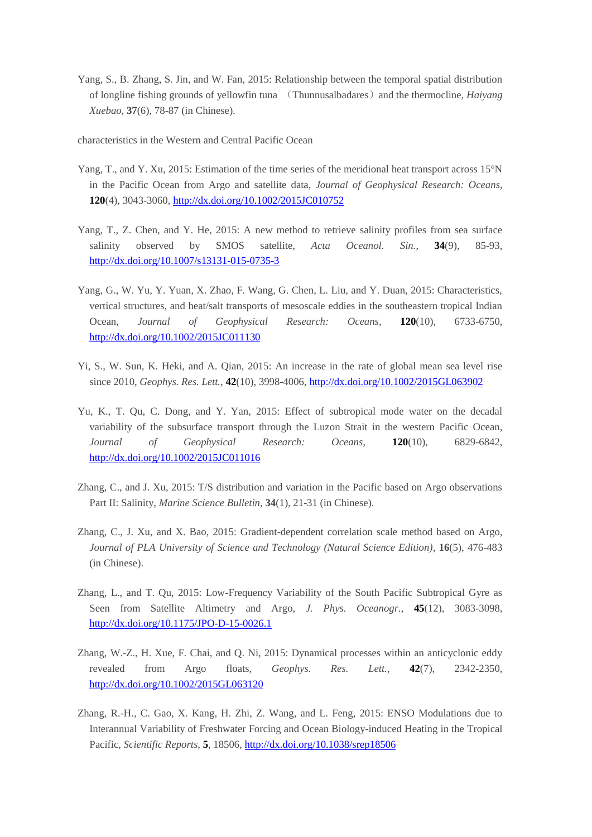Yang, S., B. Zhang, S. Jin, and W. Fan, 2015: Relationship between the temporal spatial distribution of longline fishing grounds of yellowfin tuna (Thunnusalbadares)and the thermocline, *Haiyang Xuebao*, **37**(6), 78-87 (in Chinese).

characteristics in the Western and Central Pacific Ocean

- Yang, T., and Y. Xu, 2015: Estimation of the time series of the meridional heat transport across 15°N in the Pacific Ocean from Argo and satellite data, *Journal of Geophysical Research: Oceans*, **120**(4), 3043-3060,<http://dx.doi.org/10.1002/2015JC010752>
- Yang, T., Z. Chen, and Y. He, 2015: A new method to retrieve salinity profiles from sea surface salinity observed by SMOS satellite, *Acta Oceanol. Sin.*, **34**(9), 85-93, <http://dx.doi.org/10.1007/s13131-015-0735-3>
- Yang, G., W. Yu, Y. Yuan, X. Zhao, F. Wang, G. Chen, L. Liu, and Y. Duan, 2015: Characteristics, vertical structures, and heat/salt transports of mesoscale eddies in the southeastern tropical Indian Ocean, *Journal of Geophysical Research: Oceans*, **120**(10), 6733-6750, <http://dx.doi.org/10.1002/2015JC011130>
- Yi, S., W. Sun, K. Heki, and A. Qian, 2015: An increase in the rate of global mean sea level rise since 2010, *Geophys. Res. Lett.*, **42**(10), 3998-4006,<http://dx.doi.org/10.1002/2015GL063902>
- Yu, K., T. Qu, C. Dong, and Y. Yan, 2015: Effect of subtropical mode water on the decadal variability of the subsurface transport through the Luzon Strait in the western Pacific Ocean, *Journal of Geophysical Research: Oceans*, **120**(10), 6829-6842, <http://dx.doi.org/10.1002/2015JC011016>
- Zhang, C., and J. Xu, 2015: T/S distribution and variation in the Pacific based on Argo observations Part II: Salinity, *Marine Science Bulletin*, **34**(1), 21-31 (in Chinese).
- Zhang, C., J. Xu, and X. Bao, 2015: Gradient-dependent correlation scale method based on Argo, *Journal of PLA University of Science and Technology (Natural Science Edition)*, **16**(5), 476-483 (in Chinese).
- Zhang, L., and T. Qu, 2015: Low-Frequency Variability of the South Pacific Subtropical Gyre as Seen from Satellite Altimetry and Argo, *J. Phys. Oceanogr.*, **45**(12), 3083-3098, <http://dx.doi.org/10.1175/JPO-D-15-0026.1>
- Zhang, W.-Z., H. Xue, F. Chai, and Q. Ni, 2015: Dynamical processes within an anticyclonic eddy revealed from Argo floats, *Geophys. Res. Lett.*, **42**(7), 2342-2350, <http://dx.doi.org/10.1002/2015GL063120>
- Zhang, R.-H., C. Gao, X. Kang, H. Zhi, Z. Wang, and L. Feng, 2015: ENSO Modulations due to Interannual Variability of Freshwater Forcing and Ocean Biology-induced Heating in the Tropical Pacific, *Scientific Reports*, **5**, 18506,<http://dx.doi.org/10.1038/srep18506>